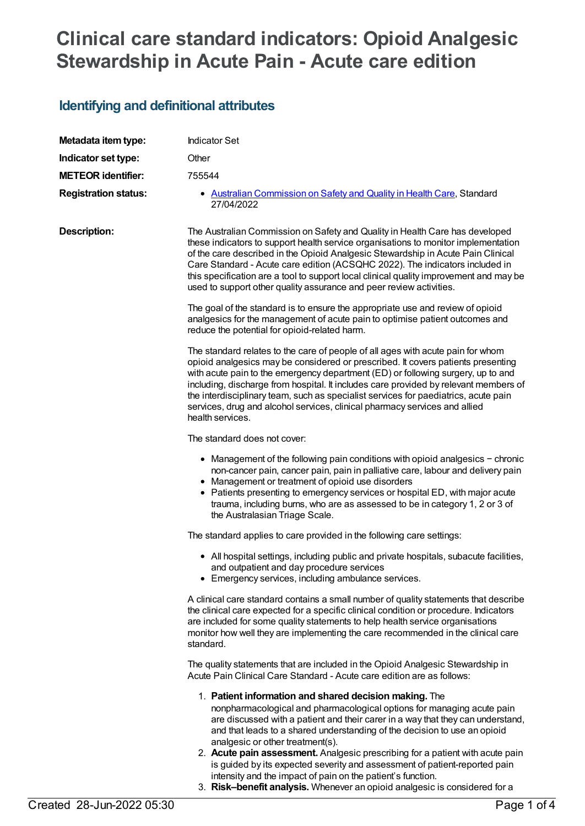# **Clinical care standard indicators: Opioid Analgesic Stewardship in Acute Pain - Acute care edition**

## **Identifying and definitional attributes**

| Metadata item type:         | <b>Indicator Set</b>                                                                                                                                                                                                                                                                                                                                                                                                                                                                                                                                                                                                                             |
|-----------------------------|--------------------------------------------------------------------------------------------------------------------------------------------------------------------------------------------------------------------------------------------------------------------------------------------------------------------------------------------------------------------------------------------------------------------------------------------------------------------------------------------------------------------------------------------------------------------------------------------------------------------------------------------------|
| Indicator set type:         | Other                                                                                                                                                                                                                                                                                                                                                                                                                                                                                                                                                                                                                                            |
| <b>METEOR identifier:</b>   | 755544                                                                                                                                                                                                                                                                                                                                                                                                                                                                                                                                                                                                                                           |
| <b>Registration status:</b> | • Australian Commission on Safety and Quality in Health Care, Standard<br>27/04/2022                                                                                                                                                                                                                                                                                                                                                                                                                                                                                                                                                             |
| <b>Description:</b>         | The Australian Commission on Safety and Quality in Health Care has developed<br>these indicators to support health service organisations to monitor implementation<br>of the care described in the Opioid Analgesic Stewardship in Acute Pain Clinical<br>Care Standard - Acute care edition (ACSQHC 2022). The indicators included in<br>this specification are a tool to support local clinical quality improvement and may be<br>used to support other quality assurance and peer review activities.                                                                                                                                          |
|                             | The goal of the standard is to ensure the appropriate use and review of opioid<br>analgesics for the management of acute pain to optimise patient outcomes and<br>reduce the potential for opioid-related harm.                                                                                                                                                                                                                                                                                                                                                                                                                                  |
|                             | The standard relates to the care of people of all ages with acute pain for whom<br>opioid analgesics may be considered or prescribed. It covers patients presenting<br>with acute pain to the emergency department (ED) or following surgery, up to and<br>including, discharge from hospital. It includes care provided by relevant members of<br>the interdisciplinary team, such as specialist services for paediatrics, acute pain<br>services, drug and alcohol services, clinical pharmacy services and allied<br>health services.                                                                                                         |
|                             | The standard does not cover:                                                                                                                                                                                                                                                                                                                                                                                                                                                                                                                                                                                                                     |
|                             | • Management of the following pain conditions with opioid analgesics - chronic<br>non-cancer pain, cancer pain, pain in palliative care, labour and delivery pain<br>• Management or treatment of opioid use disorders<br>• Patients presenting to emergency services or hospital ED, with major acute<br>trauma, including burns, who are as assessed to be in category 1, 2 or 3 of<br>the Australasian Triage Scale.                                                                                                                                                                                                                          |
|                             | The standard applies to care provided in the following care settings:                                                                                                                                                                                                                                                                                                                                                                                                                                                                                                                                                                            |
|                             | • All hospital settings, including public and private hospitals, subacute facilities,<br>and outpatient and day procedure services<br>• Emergency services, including ambulance services.                                                                                                                                                                                                                                                                                                                                                                                                                                                        |
|                             | A clinical care standard contains a small number of quality statements that describe<br>the clinical care expected for a specific clinical condition or procedure. Indicators<br>are included for some quality statements to help health service organisations<br>monitor how well they are implementing the care recommended in the clinical care<br>standard.                                                                                                                                                                                                                                                                                  |
|                             | The quality statements that are included in the Opioid Analgesic Stewardship in<br>Acute Pain Clinical Care Standard - Acute care edition are as follows:                                                                                                                                                                                                                                                                                                                                                                                                                                                                                        |
|                             | 1. Patient information and shared decision making. The<br>nonpharmacological and pharmacological options for managing acute pain<br>are discussed with a patient and their carer in a way that they can understand,<br>and that leads to a shared understanding of the decision to use an opioid<br>analgesic or other treatment(s).<br>2. Acute pain assessment. Analgesic prescribing for a patient with acute pain<br>is guided by its expected severity and assessment of patient-reported pain<br>intensity and the impact of pain on the patient's function.<br>3. Risk-benefit analysis. Whenever an opioid analgesic is considered for a |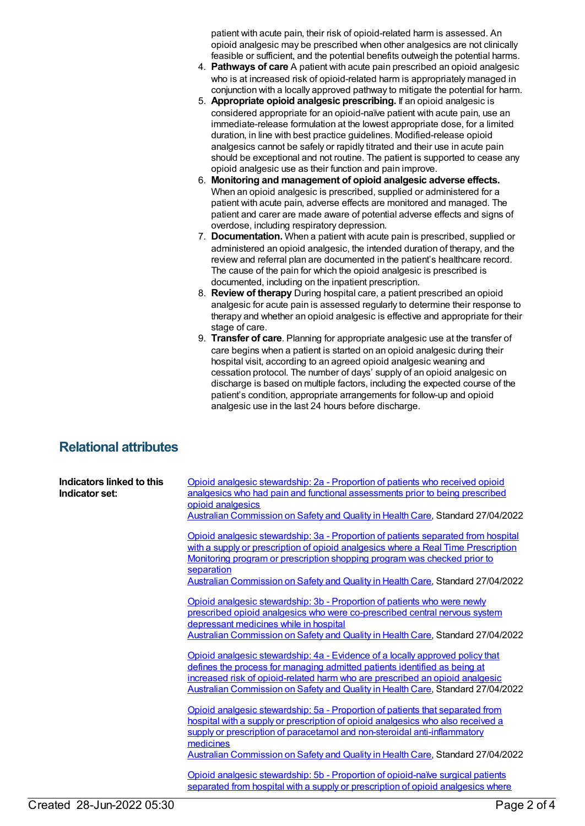patient with acute pain, their risk of opioid-related harm is assessed. An opioid analgesic may be prescribed when other analgesics are not clinically feasible or sufficient, and the potential benefits outweigh the potential harms.

- 4. **Pathways of care** A patient with acute pain prescribed an opioid analgesic who is at increased risk of opioid-related harm is appropriately managed in conjunction with a locally approved pathway to mitigate the potential for harm.
- 5. **Appropriate opioid analgesic prescribing.** If an opioid analgesic is considered appropriate for an opioid-naïve patient with acute pain, use an immediate-release formulation at the lowest appropriate dose, for a limited duration, in line with best practice guidelines. Modified-release opioid analgesics cannot be safely or rapidly titrated and their use in acute pain should be exceptional and not routine. The patient is supported to cease any opioid analgesic use as their function and pain improve.
- 6. **Monitoring and management of opioid analgesic adverse effects.** When an opioid analgesic is prescribed, supplied or administered for a patient with acute pain, adverse effects are monitored and managed. The patient and carer are made aware of potential adverse effects and signs of overdose, including respiratory depression.
- 7. **Documentation.** When a patient with acute pain is prescribed, supplied or administered an opioid analgesic, the intended duration of therapy, and the review and referral plan are documented in the patient's healthcare record. The cause of the pain for which the opioid analgesic is prescribed is documented, including on the inpatient prescription.
- 8. **Review of therapy** During hospital care, a patient prescribed an opioid analgesic for acute pain is assessed regularly to determine their response to therapy and whether an opioid analgesic is effective and appropriate for their stage of care.
- 9. **Transfer of care**. Planning for appropriate analgesic use at the transfer of care begins when a patient is started on an opioid analgesic during their hospital visit, according to an agreed opioid analgesic weaning and cessation protocol. The number of days' supply of an opioid analgesic on discharge is based on multiple factors, including the expected course of the patient's condition, appropriate arrangements for follow-up and opioid analgesic use in the last 24 hours before discharge.

## **Relational attributes**

| Indicators linked to this<br>Indicator set: | Opioid analgesic stewardship: 2a - Proportion of patients who received opioid<br>analgesics who had pain and functional assessments prior to being prescribed<br>opioid analgesics<br>Australian Commission on Safety and Quality in Health Care, Standard 27/04/2022                                                                               |
|---------------------------------------------|-----------------------------------------------------------------------------------------------------------------------------------------------------------------------------------------------------------------------------------------------------------------------------------------------------------------------------------------------------|
|                                             | Opioid analgesic stewardship: 3a - Proportion of patients separated from hospital<br>with a supply or prescription of opioid analgesics where a Real Time Prescription<br>Monitoring program or prescription shopping program was checked prior to<br>separation<br>Australian Commission on Safety and Quality in Health Care, Standard 27/04/2022 |
|                                             | Opioid analgesic stewardship: 3b - Proportion of patients who were newly<br>prescribed opioid analgesics who were co-prescribed central nervous system<br>depressant medicines while in hospital<br>Australian Commission on Safety and Quality in Health Care, Standard 27/04/2022                                                                 |
|                                             | Opioid analgesic stewardship: 4a - Evidence of a locally approved policy that<br>defines the process for managing admitted patients identified as being at<br>increased risk of opioid-related harm who are prescribed an opioid analgesic<br>Australian Commission on Safety and Quality in Health Care, Standard 27/04/2022                       |
|                                             | Opioid analgesic stewardship: 5a - Proportion of patients that separated from<br>hospital with a supply or prescription of opioid analgesics who also received a<br>supply or prescription of paracetamol and non-steroidal anti-inflammatory<br>medicines<br>Australian Commission on Safety and Quality in Health Care, Standard 27/04/2022       |
|                                             | Opioid analgesic stewardship: 5b - Proportion of opioid-naïve surgical patients<br>separated from hospital with a supply or prescription of opioid analgesics where                                                                                                                                                                                 |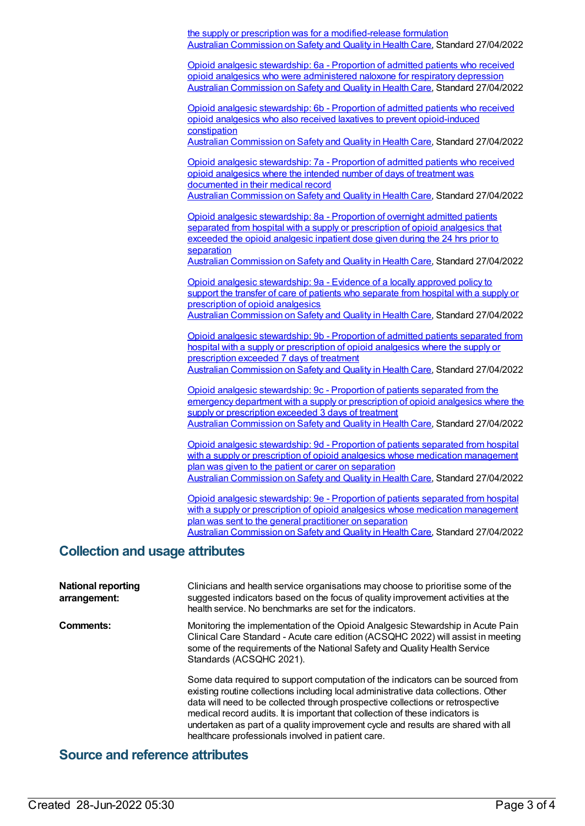the supply or prescription was for a modified-release formulation Australian [Commission](https://meteor.aihw.gov.au/RegistrationAuthority/18) on Safety and Quality in Health Care, Standard 27/04/2022

Opioid analgesic [stewardship:](https://meteor.aihw.gov.au/content/755563) 6a - Proportion of admitted patients who received opioid analgesics who were administered naloxone for respiratory depression Australian [Commission](https://meteor.aihw.gov.au/RegistrationAuthority/18) on Safety and Quality in Health Care, Standard 27/04/2022

Opioid analgesic stewardship: 6b - Proportion of admitted patients who received opioid analgesics who also received laxatives to prevent [opioid-induced](https://meteor.aihw.gov.au/content/755566) constipation

Australian [Commission](https://meteor.aihw.gov.au/RegistrationAuthority/18) on Safety and Quality in Health Care, Standard 27/04/2022

Opioid analgesic [stewardship:](https://meteor.aihw.gov.au/content/755568) 7a - Proportion of admitted patients who received opioid analgesics where the intended number of days of treatment was documented in their medical record Australian [Commission](https://meteor.aihw.gov.au/RegistrationAuthority/18) on Safety and Quality in Health Care, Standard 27/04/2022

Opioid analgesic [stewardship:](https://meteor.aihw.gov.au/content/755570) 8a - Proportion of overnight admitted patients separated from hospital with a supply or prescription of opioid analgesics that exceeded the opioid analgesic inpatient dose given during the 24 hrs prior to separation

Australian [Commission](https://meteor.aihw.gov.au/RegistrationAuthority/18) on Safety and Quality in Health Care, Standard 27/04/2022

Opioid analgesic [stewardship:](https://meteor.aihw.gov.au/content/755572) 9a - Evidence of a locally approved policy to support the transfer of care of patients who separate from hospital with a supply or prescription of opioid analgesics Australian [Commission](https://meteor.aihw.gov.au/RegistrationAuthority/18) on Safety and Quality in Health Care, Standard 27/04/2022

Opioid analgesic [stewardship:](https://meteor.aihw.gov.au/content/755574) 9b - Proportion of admitted patients separated from hospital with a supply or prescription of opioid analgesics where the supply or prescription exceeded 7 days of treatment Australian [Commission](https://meteor.aihw.gov.au/RegistrationAuthority/18) on Safety and Quality in Health Care, Standard 27/04/2022

Opioid analgesic [stewardship:](https://meteor.aihw.gov.au/content/755576) 9c - Proportion of patients separated from the emergency department with a supply or prescription of opioid analgesics where the supply or prescription exceeded 3 days of treatment

Australian [Commission](https://meteor.aihw.gov.au/RegistrationAuthority/18) on Safety and Quality in Health Care, Standard 27/04/2022

Opioid analgesic stewardship: 9d - Proportion of patients separated from hospital with a supply or prescription of opioid analgesics whose medication [management](https://meteor.aihw.gov.au/content/755578) plan was given to the patient or carer on separation Australian [Commission](https://meteor.aihw.gov.au/RegistrationAuthority/18) on Safety and Quality in Health Care, Standard 27/04/2022

Opioid analgesic stewardship: 9e - Proportion of patients separated from hospital with a supply or prescription of opioid analgesics whose medication [management](https://meteor.aihw.gov.au/content/755580) plan was sent to the general practitioner on separation Australian [Commission](https://meteor.aihw.gov.au/RegistrationAuthority/18) on Safety and Quality in Health Care, Standard 27/04/2022

### **Collection and usage attributes**

| <b>National reporting</b><br>arrangement: | Clinicians and health service organisations may choose to prioritise some of the<br>suggested indicators based on the focus of quality improvement activities at the<br>health service. No benchmarks are set for the indicators.                                                                                                                                                                                                                                                     |
|-------------------------------------------|---------------------------------------------------------------------------------------------------------------------------------------------------------------------------------------------------------------------------------------------------------------------------------------------------------------------------------------------------------------------------------------------------------------------------------------------------------------------------------------|
| Comments:                                 | Monitoring the implementation of the Opioid Analgesic Stewardship in Acute Pain<br>Clinical Care Standard - Acute care edition (ACSQHC 2022) will assist in meeting<br>some of the requirements of the National Safety and Quality Health Service<br>Standards (ACSQHC 2021).                                                                                                                                                                                                         |
|                                           | Some data required to support computation of the indicators can be sourced from<br>existing routine collections including local administrative data collections. Other<br>data will need to be collected through prospective collections or retrospective<br>medical record audits. It is important that collection of these indicators is<br>undertaken as part of a quality improvement cycle and results are shared with all<br>healthcare professionals involved in patient care. |

### **Source and reference attributes**